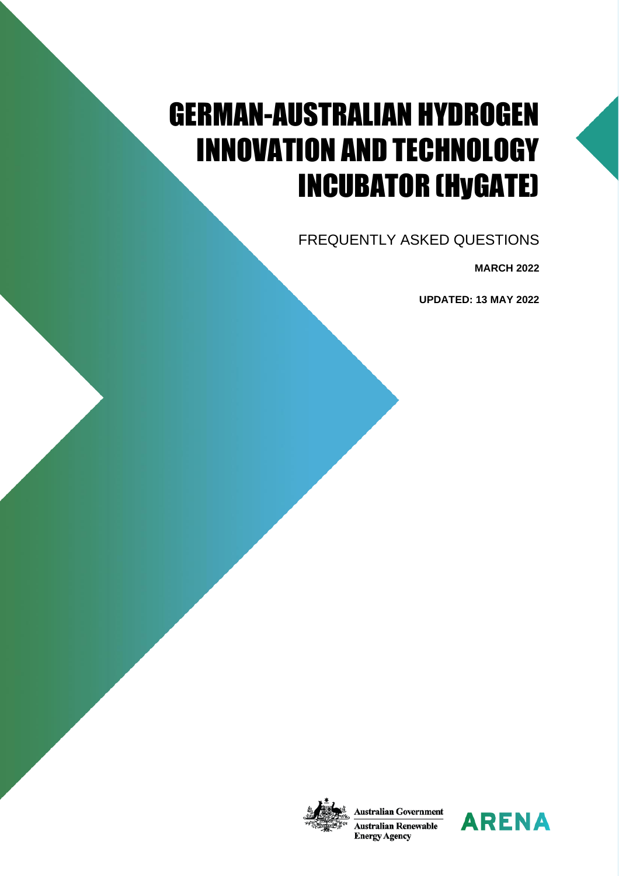# GERMAN-AUSTRALIAN HYDROGEN INNOVATION AND TECHNOLOGY INCUBATOR (HyGATE)

FREQUENTLY ASKED QUESTIONS

**MARCH 2022**

**UPDATED: 13 MAY 2022**



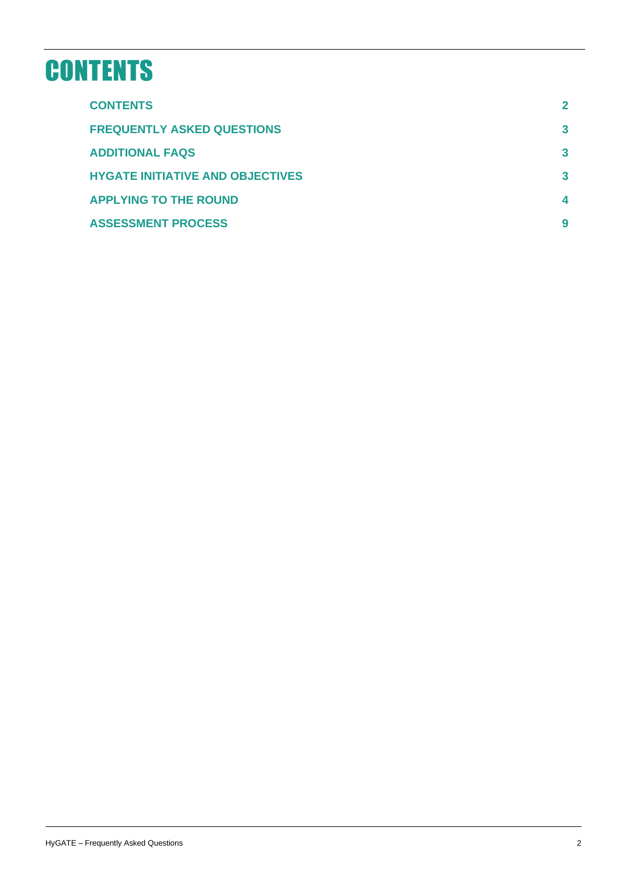# <span id="page-1-0"></span>**CONTENTS**

| <b>CONTENTS</b>                         | $\mathbf 2$ |
|-----------------------------------------|-------------|
| <b>FREQUENTLY ASKED QUESTIONS</b>       | 3           |
| <b>ADDITIONAL FAQS</b>                  | 3           |
| <b>HYGATE INITIATIVE AND OBJECTIVES</b> | 3           |
| <b>APPLYING TO THE ROUND</b>            |             |
| <b>ASSESSMENT PROCESS</b>               | 9           |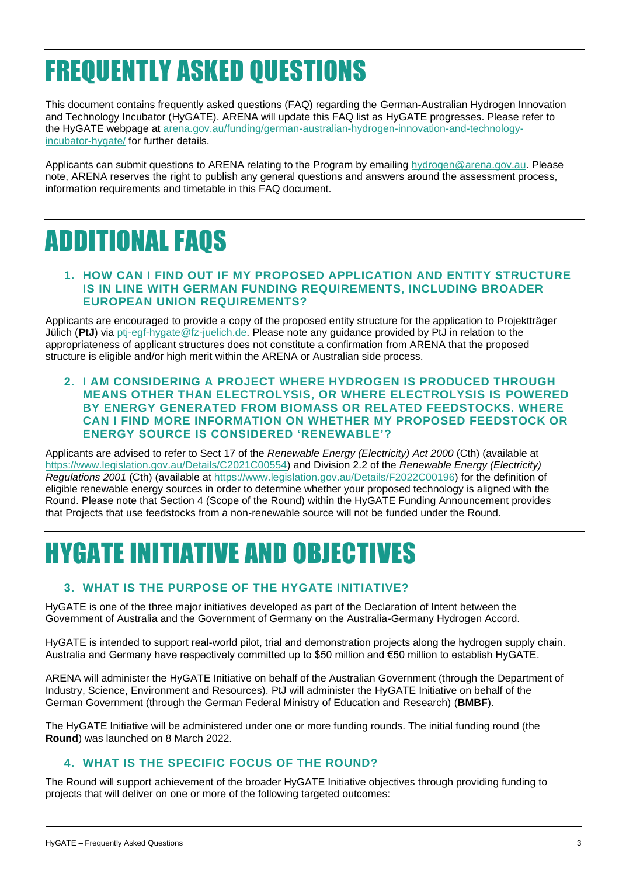# <span id="page-2-0"></span>FREQUENTLY ASKED QUESTIONS

This document contains frequently asked questions (FAQ) regarding the German-Australian Hydrogen Innovation and Technology Incubator (HyGATE). ARENA will update this FAQ list as HyGATE progresses. Please refer to the HyGATE webpage at [arena.gov.au/funding/german-australian-hydrogen-innovation-and-technology](https://arena.gov.au/funding/german-australian-hydrogen-innovation-and-technology-incubator-hygate/)[incubator-hygate/](https://arena.gov.au/funding/german-australian-hydrogen-innovation-and-technology-incubator-hygate/) for further details.

Applicants can submit questions to ARENA relating to the Program by emailing [hydrogen@arena.gov.au.](mailto:hydrogen@arena.gov.au) Please note, ARENA reserves the right to publish any general questions and answers around the assessment process, information requirements and timetable in this FAQ document.

## <span id="page-2-1"></span>ADDITIONAL FAQS

#### **1. HOW CAN I FIND OUT IF MY PROPOSED APPLICATION AND ENTITY STRUCTURE IS IN LINE WITH GERMAN FUNDING REQUIREMENTS, INCLUDING BROADER EUROPEAN UNION REQUIREMENTS?**

Applicants are encouraged to provide a copy of the proposed entity structure for the application to Projektträger Jülich (**PtJ**) via [ptj-egf-hygate@fz-juelich.de.](ptj-egf-hygate@fz-juelich.de) Please note any guidance provided by PtJ in relation to the appropriateness of applicant structures does not constitute a confirmation from ARENA that the proposed structure is eligible and/or high merit within the ARENA or Australian side process.

**2. I AM CONSIDERING A PROJECT WHERE HYDROGEN IS PRODUCED THROUGH MEANS OTHER THAN ELECTROLYSIS, OR WHERE ELECTROLYSIS IS POWERED BY ENERGY GENERATED FROM BIOMASS OR RELATED FEEDSTOCKS. WHERE CAN I FIND MORE INFORMATION ON WHETHER MY PROPOSED FEEDSTOCK OR ENERGY SOURCE IS CONSIDERED 'RENEWABLE'?**

Applicants are advised to refer to Sect 17 of the *Renewable Energy (Electricity) Act 2000* (Cth) (available at [https://www.legislation.gov.au/Details/C2021C00554\)](https://www.legislation.gov.au/Details/C2021C00554) and Division 2.2 of the *Renewable Energy (Electricity) Regulations 2001* (Cth) (available at [https://www.legislation.gov.au/Details/F2022C00196\)](https://www.legislation.gov.au/Details/F2022C00196) for the definition of eligible renewable energy sources in order to determine whether your proposed technology is aligned with the Round. Please note that Section 4 (Scope of the Round) within the HyGATE Funding Announcement provides that Projects that use feedstocks from a non-renewable source will not be funded under the Round.

## <span id="page-2-2"></span>HYGATE INITIATIVE AND OBJECTIVES

## **3. WHAT IS THE PURPOSE OF THE HYGATE INITIATIVE?**

HyGATE is one of the three major initiatives developed as part of the Declaration of Intent between the Government of Australia and the Government of Germany on the Australia-Germany Hydrogen Accord.

HyGATE is intended to support real-world pilot, trial and demonstration projects along the hydrogen supply chain. Australia and Germany have respectively committed up to \$50 million and €50 million to establish HyGATE.

ARENA will administer the HyGATE Initiative on behalf of the Australian Government (through the Department of Industry, Science, Environment and Resources). PtJ will administer the HyGATE Initiative on behalf of the German Government (through the German Federal Ministry of Education and Research) (**BMBF**).

The HyGATE Initiative will be administered under one or more funding rounds. The initial funding round (the **Round**) was launched on 8 March 2022.

## **4. WHAT IS THE SPECIFIC FOCUS OF THE ROUND?**

The Round will support achievement of the broader HyGATE Initiative objectives through providing funding to projects that will deliver on one or more of the following targeted outcomes: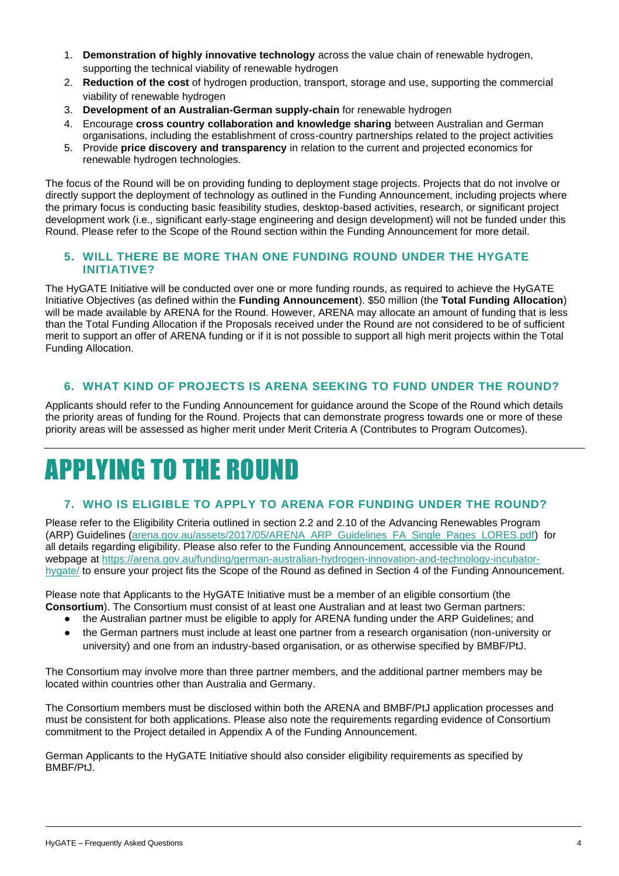- 1. **Demonstration of highly innovative technology** across the value chain of renewable hydrogen, supporting the technical viability of renewable hydrogen
- 2. **Reduction of the cost** of hydrogen production, transport, storage and use, supporting the commercial viability of renewable hydrogen
- 3. **Development of an Australian-German supply-chain** for renewable hydrogen
- 4. Encourage **cross country collaboration and knowledge sharing** between Australian and German organisations, including the establishment of cross-country partnerships related to the project activities
- 5. Provide **price discovery and transparency** in relation to the current and projected economics for renewable hydrogen technologies.

The focus of the Round will be on providing funding to deployment stage projects. Projects that do not involve or directly support the deployment of technology as outlined in the Funding Announcement, including projects where the primary focus is conducting basic feasibility studies, desktop-based activities, research, or significant project development work (i.e., significant early-stage engineering and design development) will not be funded under this Round. Please refer to the Scope of the Round section within the Funding Announcement for more detail.

### **5. WILL THERE BE MORE THAN ONE FUNDING ROUND UNDER THE HYGATE INITIATIVE?**

The HyGATE Initiative will be conducted over one or more funding rounds, as required to achieve the HyGATE Initiative Objectives (as defined within the **Funding Announcement**). \$50 million (the **Total Funding Allocation**) will be made available by ARENA for the Round. However, ARENA may allocate an amount of funding that is less than the Total Funding Allocation if the Proposals received under the Round are not considered to be of sufficient merit to support an offer of ARENA funding or if it is not possible to support all high merit projects within the Total Funding Allocation.

### **6. WHAT KIND OF PROJECTS IS ARENA SEEKING TO FUND UNDER THE ROUND?**

Applicants should refer to the Funding Announcement for guidance around the Scope of the Round which details the priority areas of funding for the Round. Projects that can demonstrate progress towards one or more of these priority areas will be assessed as higher merit under Merit Criteria A (Contributes to Program Outcomes).

# <span id="page-3-0"></span>APPLYING TO THE ROUND

## **7. WHO IS ELIGIBLE TO APPLY TO ARENA FOR FUNDING UNDER THE ROUND?**

Please refer to the Eligibility Criteria outlined in section 2.2 and 2.10 of the Advancing Renewables Program (ARP) Guidelines [\(arena.gov.au/assets/2017/05/ARENA\\_ARP\\_Guidelines\\_FA\\_Single\\_Pages\\_LORES.pdf\)](https://arena.gov.au/assets/2017/05/ARENA_ARP_Guidelines_FA_Single_Pages_LORES.pdf) for all details regarding eligibility. Please also refer to the Funding Announcement, accessible via the Round webpage at [https://arena.gov.au/funding/german-australian-hydrogen-innovation-and-technology-incubator](https://arena.gov.au/funding/german-australian-hydrogen-innovation-and-technology-incubator-hygate/)[hygate/](https://arena.gov.au/funding/german-australian-hydrogen-innovation-and-technology-incubator-hygate/) to ensure your project fits the Scope of the Round as defined in Section 4 of the Funding Announcement.

Please note that Applicants to the HyGATE Initiative must be a member of an eligible consortium (the **Consortium**). The Consortium must consist of at least one Australian and at least two German partners:

- the Australian partner must be eligible to apply for ARENA funding under the ARP Guidelines; and
- the German partners must include at least one partner from a research organisation (non-university or university) and one from an industry-based organisation, or as otherwise specified by BMBF/PtJ.

The Consortium may involve more than three partner members, and the additional partner members may be located within countries other than Australia and Germany.

The Consortium members must be disclosed within both the ARENA and BMBF/PtJ application processes and must be consistent for both applications. Please also note the requirements regarding evidence of Consortium commitment to the Project detailed in Appendix A of the Funding Announcement.

German Applicants to the HyGATE Initiative should also consider eligibility requirements as specified by BMBF/PtJ.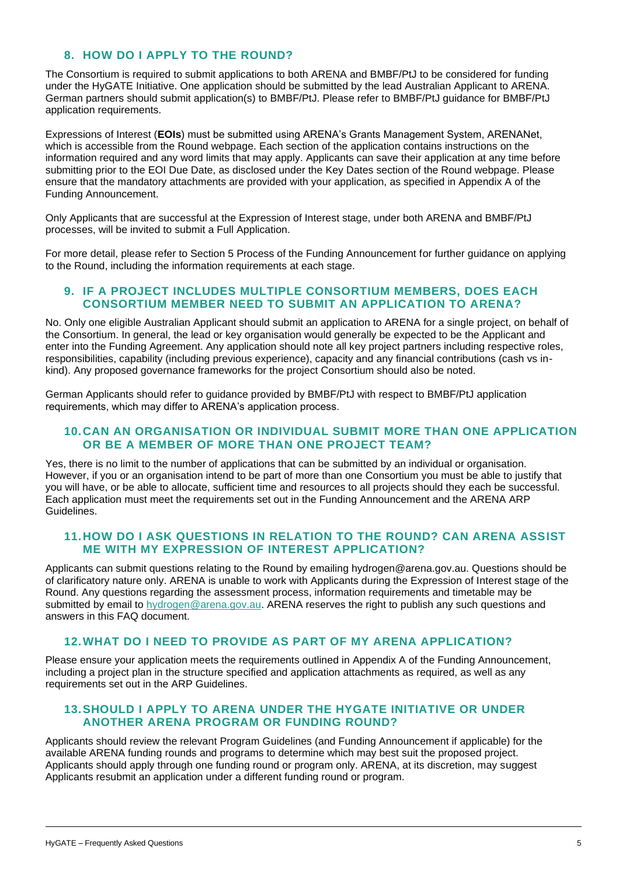### **8. HOW DO I APPLY TO THE ROUND?**

The Consortium is required to submit applications to both ARENA and BMBF/PtJ to be considered for funding under the HyGATE Initiative. One application should be submitted by the lead Australian Applicant to ARENA. German partners should submit application(s) to BMBF/PtJ. Please refer to BMBF/PtJ guidance for BMBF/PtJ application requirements.

Expressions of Interest (**EOIs**) must be submitted using ARENA's Grants Management System, ARENANet, which is accessible from the Round webpage. Each section of the application contains instructions on the information required and any word limits that may apply. Applicants can save their application at any time before submitting prior to the EOI Due Date, as disclosed under the Key Dates section of the Round webpage. Please ensure that the mandatory attachments are provided with your application, as specified in Appendix A of the Funding Announcement.

Only Applicants that are successful at the Expression of Interest stage, under both ARENA and BMBF/PtJ processes, will be invited to submit a Full Application.

For more detail, please refer to Section 5 Process of the Funding Announcement for further guidance on applying to the Round, including the information requirements at each stage.

#### **9. IF A PROJECT INCLUDES MULTIPLE CONSORTIUM MEMBERS, DOES EACH CONSORTIUM MEMBER NEED TO SUBMIT AN APPLICATION TO ARENA?**

No. Only one eligible Australian Applicant should submit an application to ARENA for a single project, on behalf of the Consortium. In general, the lead or key organisation would generally be expected to be the Applicant and enter into the Funding Agreement. Any application should note all key project partners including respective roles, responsibilities, capability (including previous experience), capacity and any financial contributions (cash vs inkind). Any proposed governance frameworks for the project Consortium should also be noted.

German Applicants should refer to guidance provided by BMBF/PtJ with respect to BMBF/PtJ application requirements, which may differ to ARENA's application process.

#### **10.CAN AN ORGANISATION OR INDIVIDUAL SUBMIT MORE THAN ONE APPLICATION OR BE A MEMBER OF MORE THAN ONE PROJECT TEAM?**

Yes, there is no limit to the number of applications that can be submitted by an individual or organisation. However, if you or an organisation intend to be part of more than one Consortium you must be able to justify that you will have, or be able to allocate, sufficient time and resources to all projects should they each be successful. Each application must meet the requirements set out in the Funding Announcement and the ARENA ARP Guidelines.

#### **11.HOW DO I ASK QUESTIONS IN RELATION TO THE ROUND? CAN ARENA ASSIST ME WITH MY EXPRESSION OF INTEREST APPLICATION?**

Applicants can submit questions relating to the Round by emailing hydrogen@arena.gov.au. Questions should be of clarificatory nature only. ARENA is unable to work with Applicants during the Expression of Interest stage of the Round. Any questions regarding the assessment process, information requirements and timetable may be submitted by email to [hydrogen@arena.gov.au.](mailto:hydrogen@arena.gov.au) ARENA reserves the right to publish any such questions and answers in this FAQ document.

#### **12.WHAT DO I NEED TO PROVIDE AS PART OF MY ARENA APPLICATION?**

Please ensure your application meets the requirements outlined in Appendix A of the Funding Announcement, including a project plan in the structure specified and application attachments as required, as well as any requirements set out in the ARP Guidelines.

#### **13.SHOULD I APPLY TO ARENA UNDER THE HYGATE INITIATIVE OR UNDER ANOTHER ARENA PROGRAM OR FUNDING ROUND?**

Applicants should review the relevant Program Guidelines (and Funding Announcement if applicable) for the available ARENA funding rounds and programs to determine which may best suit the proposed project. Applicants should apply through one funding round or program only. ARENA, at its discretion, may suggest Applicants resubmit an application under a different funding round or program.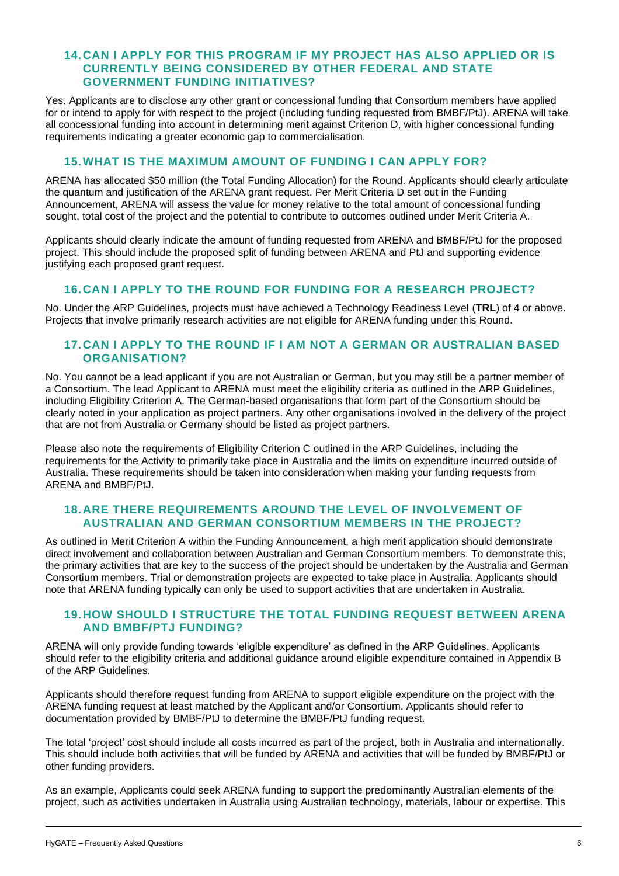#### **14.CAN I APPLY FOR THIS PROGRAM IF MY PROJECT HAS ALSO APPLIED OR IS CURRENTLY BEING CONSIDERED BY OTHER FEDERAL AND STATE GOVERNMENT FUNDING INITIATIVES?**

Yes. Applicants are to disclose any other grant or concessional funding that Consortium members have applied for or intend to apply for with respect to the project (including funding requested from BMBF/PtJ). ARENA will take all concessional funding into account in determining merit against Criterion D, with higher concessional funding requirements indicating a greater economic gap to commercialisation.

### **15.WHAT IS THE MAXIMUM AMOUNT OF FUNDING I CAN APPLY FOR?**

ARENA has allocated \$50 million (the Total Funding Allocation) for the Round. Applicants should clearly articulate the quantum and justification of the ARENA grant request. Per Merit Criteria D set out in the Funding Announcement, ARENA will assess the value for money relative to the total amount of concessional funding sought, total cost of the project and the potential to contribute to outcomes outlined under Merit Criteria A.

Applicants should clearly indicate the amount of funding requested from ARENA and BMBF/PtJ for the proposed project. This should include the proposed split of funding between ARENA and PtJ and supporting evidence justifying each proposed grant request.

#### **16.CAN I APPLY TO THE ROUND FOR FUNDING FOR A RESEARCH PROJECT?**

No. Under the ARP Guidelines, projects must have achieved a Technology Readiness Level (**TRL**) of 4 or above. Projects that involve primarily research activities are not eligible for ARENA funding under this Round.

#### **17.CAN I APPLY TO THE ROUND IF I AM NOT A GERMAN OR AUSTRALIAN BASED ORGANISATION?**

No. You cannot be a lead applicant if you are not Australian or German, but you may still be a partner member of a Consortium. The lead Applicant to ARENA must meet the eligibility criteria as outlined in the ARP Guidelines, including Eligibility Criterion A. The German-based organisations that form part of the Consortium should be clearly noted in your application as project partners. Any other organisations involved in the delivery of the project that are not from Australia or Germany should be listed as project partners.

Please also note the requirements of Eligibility Criterion C outlined in the ARP Guidelines, including the requirements for the Activity to primarily take place in Australia and the limits on expenditure incurred outside of Australia. These requirements should be taken into consideration when making your funding requests from ARENA and BMBF/PtJ.

#### **18.ARE THERE REQUIREMENTS AROUND THE LEVEL OF INVOLVEMENT OF AUSTRALIAN AND GERMAN CONSORTIUM MEMBERS IN THE PROJECT?**

As outlined in Merit Criterion A within the Funding Announcement, a high merit application should demonstrate direct involvement and collaboration between Australian and German Consortium members. To demonstrate this, the primary activities that are key to the success of the project should be undertaken by the Australia and German Consortium members. Trial or demonstration projects are expected to take place in Australia. Applicants should note that ARENA funding typically can only be used to support activities that are undertaken in Australia.

#### **19.HOW SHOULD I STRUCTURE THE TOTAL FUNDING REQUEST BETWEEN ARENA AND BMBF/PTJ FUNDING?**

ARENA will only provide funding towards 'eligible expenditure' as defined in the ARP Guidelines. Applicants should refer to the eligibility criteria and additional guidance around eligible expenditure contained in Appendix B of the ARP Guidelines.

Applicants should therefore request funding from ARENA to support eligible expenditure on the project with the ARENA funding request at least matched by the Applicant and/or Consortium. Applicants should refer to documentation provided by BMBF/PtJ to determine the BMBF/PtJ funding request.

The total 'project' cost should include all costs incurred as part of the project, both in Australia and internationally. This should include both activities that will be funded by ARENA and activities that will be funded by BMBF/PtJ or other funding providers.

As an example, Applicants could seek ARENA funding to support the predominantly Australian elements of the project, such as activities undertaken in Australia using Australian technology, materials, labour or expertise. This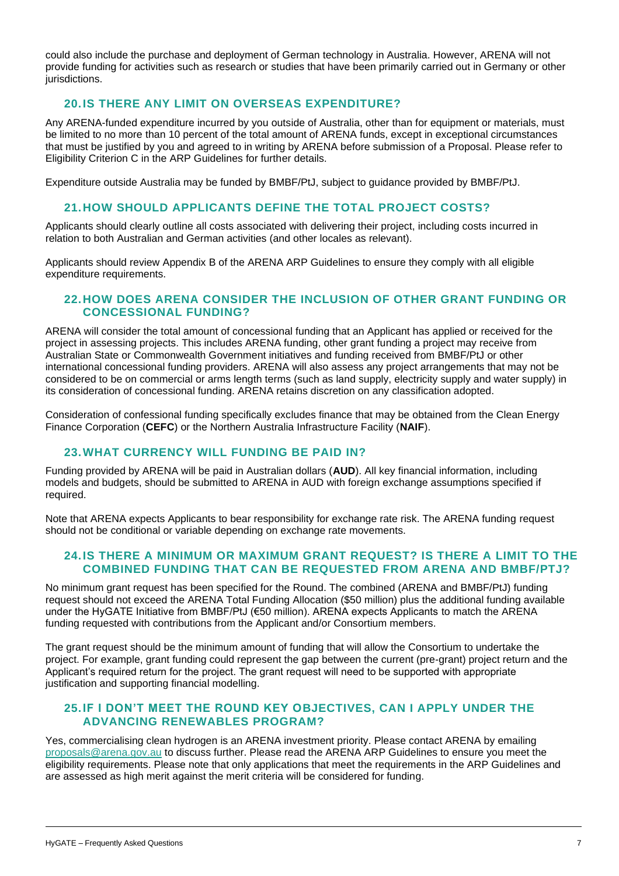could also include the purchase and deployment of German technology in Australia. However, ARENA will not provide funding for activities such as research or studies that have been primarily carried out in Germany or other jurisdictions.

### **20.IS THERE ANY LIMIT ON OVERSEAS EXPENDITURE?**

Any ARENA-funded expenditure incurred by you outside of Australia, other than for equipment or materials, must be limited to no more than 10 percent of the total amount of ARENA funds, except in exceptional circumstances that must be justified by you and agreed to in writing by ARENA before submission of a Proposal. Please refer to Eligibility Criterion C in the ARP Guidelines for further details.

Expenditure outside Australia may be funded by BMBF/PtJ, subject to guidance provided by BMBF/PtJ.

### **21.HOW SHOULD APPLICANTS DEFINE THE TOTAL PROJECT COSTS?**

Applicants should clearly outline all costs associated with delivering their project, including costs incurred in relation to both Australian and German activities (and other locales as relevant).

Applicants should review Appendix B of the ARENA ARP Guidelines to ensure they comply with all eligible expenditure requirements.

#### **22.HOW DOES ARENA CONSIDER THE INCLUSION OF OTHER GRANT FUNDING OR CONCESSIONAL FUNDING?**

ARENA will consider the total amount of concessional funding that an Applicant has applied or received for the project in assessing projects. This includes ARENA funding, other grant funding a project may receive from Australian State or Commonwealth Government initiatives and funding received from BMBF/PtJ or other international concessional funding providers. ARENA will also assess any project arrangements that may not be considered to be on commercial or arms length terms (such as land supply, electricity supply and water supply) in its consideration of concessional funding. ARENA retains discretion on any classification adopted.

Consideration of confessional funding specifically excludes finance that may be obtained from the Clean Energy Finance Corporation (**CEFC**) or the Northern Australia Infrastructure Facility (**NAIF**).

## **23.WHAT CURRENCY WILL FUNDING BE PAID IN?**

Funding provided by ARENA will be paid in Australian dollars (**AUD**). All key financial information, including models and budgets, should be submitted to ARENA in AUD with foreign exchange assumptions specified if required.

Note that ARENA expects Applicants to bear responsibility for exchange rate risk. The ARENA funding request should not be conditional or variable depending on exchange rate movements.

### **24.IS THERE A MINIMUM OR MAXIMUM GRANT REQUEST? IS THERE A LIMIT TO THE COMBINED FUNDING THAT CAN BE REQUESTED FROM ARENA AND BMBF/PTJ?**

No minimum grant request has been specified for the Round. The combined (ARENA and BMBF/PtJ) funding request should not exceed the ARENA Total Funding Allocation (\$50 million) plus the additional funding available under the HyGATE Initiative from BMBF/PtJ (€50 million). ARENA expects Applicants to match the ARENA funding requested with contributions from the Applicant and/or Consortium members.

The grant request should be the minimum amount of funding that will allow the Consortium to undertake the project. For example, grant funding could represent the gap between the current (pre-grant) project return and the Applicant's required return for the project. The grant request will need to be supported with appropriate justification and supporting financial modelling.

#### **25.IF I DON'T MEET THE ROUND KEY OBJECTIVES, CAN I APPLY UNDER THE ADVANCING RENEWABLES PROGRAM?**

Yes, commercialising clean hydrogen is an ARENA investment priority. Please contact ARENA by emailing [proposals@arena.gov.au](mailto:proposals@arena.gov.au) to discuss further. Please read the ARENA ARP Guidelines to ensure you meet the eligibility requirements. Please note that only applications that meet the requirements in the ARP Guidelines and are assessed as high merit against the merit criteria will be considered for funding.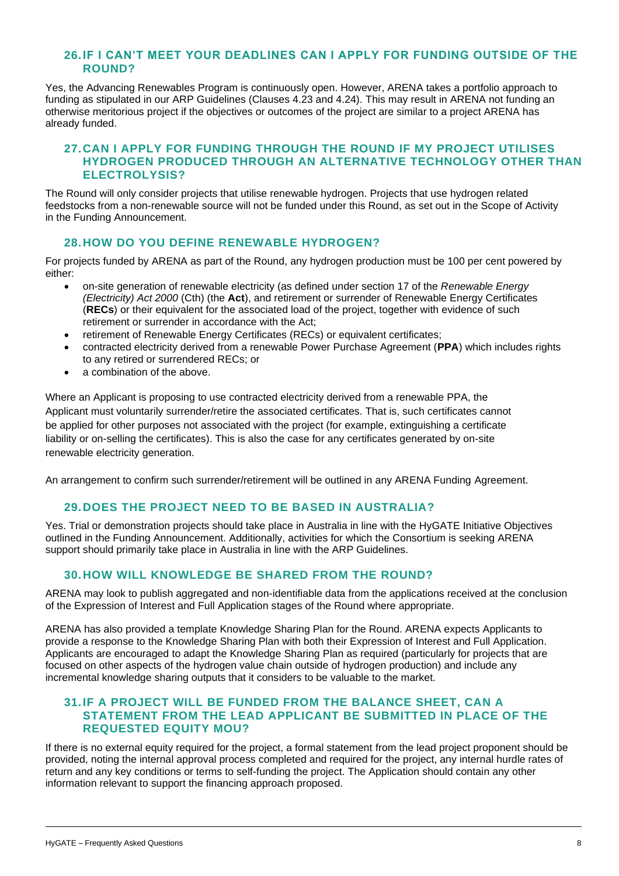#### **26.IF I CAN'T MEET YOUR DEADLINES CAN I APPLY FOR FUNDING OUTSIDE OF THE ROUND?**

Yes, the Advancing Renewables Program is continuously open. However, ARENA takes a portfolio approach to funding as stipulated in our ARP Guidelines (Clauses 4.23 and 4.24). This may result in ARENA not funding an otherwise meritorious project if the objectives or outcomes of the project are similar to a project ARENA has already funded.

#### **27.CAN I APPLY FOR FUNDING THROUGH THE ROUND IF MY PROJECT UTILISES HYDROGEN PRODUCED THROUGH AN ALTERNATIVE TECHNOLOGY OTHER THAN ELECTROLYSIS?**

The Round will only consider projects that utilise renewable hydrogen. Projects that use hydrogen related feedstocks from a non-renewable source will not be funded under this Round, as set out in the Scope of Activity in the Funding Announcement.

#### **28.HOW DO YOU DEFINE RENEWABLE HYDROGEN?**

For projects funded by ARENA as part of the Round, any hydrogen production must be 100 per cent powered by either:

- on-site generation of renewable electricity (as defined under section 17 of the *Renewable Energy (Electricity) Act 2000* (Cth) (the **Act**), and retirement or surrender of Renewable Energy Certificates (**RECs**) or their equivalent for the associated load of the project, together with evidence of such retirement or surrender in accordance with the Act;
- retirement of Renewable Energy Certificates (RECs) or equivalent certificates;
- contracted electricity derived from a renewable Power Purchase Agreement (**PPA**) which includes rights to any retired or surrendered RECs; or
- a combination of the above.

Where an Applicant is proposing to use contracted electricity derived from a renewable PPA, the Applicant must voluntarily surrender/retire the associated certificates. That is, such certificates cannot be applied for other purposes not associated with the project (for example, extinguishing a certificate liability or on-selling the certificates). This is also the case for any certificates generated by on-site renewable electricity generation.

An arrangement to confirm such surrender/retirement will be outlined in any ARENA Funding Agreement.

### **29.DOES THE PROJECT NEED TO BE BASED IN AUSTRALIA?**

Yes. Trial or demonstration projects should take place in Australia in line with the HyGATE Initiative Objectives outlined in the Funding Announcement. Additionally, activities for which the Consortium is seeking ARENA support should primarily take place in Australia in line with the ARP Guidelines.

### **30.HOW WILL KNOWLEDGE BE SHARED FROM THE ROUND?**

ARENA may look to publish aggregated and non-identifiable data from the applications received at the conclusion of the Expression of Interest and Full Application stages of the Round where appropriate.

ARENA has also provided a template Knowledge Sharing Plan for the Round. ARENA expects Applicants to provide a response to the Knowledge Sharing Plan with both their Expression of Interest and Full Application. Applicants are encouraged to adapt the Knowledge Sharing Plan as required (particularly for projects that are focused on other aspects of the hydrogen value chain outside of hydrogen production) and include any incremental knowledge sharing outputs that it considers to be valuable to the market.

#### **31.IF A PROJECT WILL BE FUNDED FROM THE BALANCE SHEET, CAN A STATEMENT FROM THE LEAD APPLICANT BE SUBMITTED IN PLACE OF THE REQUESTED EQUITY MOU?**

If there is no external equity required for the project, a formal statement from the lead project proponent should be provided, noting the internal approval process completed and required for the project, any internal hurdle rates of return and any key conditions or terms to self-funding the project. The Application should contain any other information relevant to support the financing approach proposed.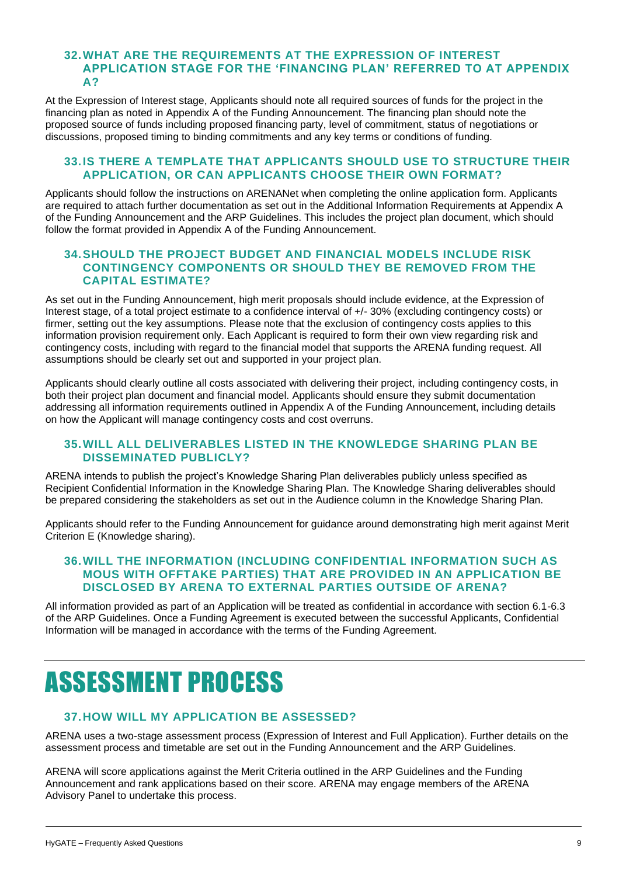#### **32.WHAT ARE THE REQUIREMENTS AT THE EXPRESSION OF INTEREST APPLICATION STAGE FOR THE 'FINANCING PLAN' REFERRED TO AT APPENDIX A?**

At the Expression of Interest stage, Applicants should note all required sources of funds for the project in the financing plan as noted in Appendix A of the Funding Announcement. The financing plan should note the proposed source of funds including proposed financing party, level of commitment, status of negotiations or discussions, proposed timing to binding commitments and any key terms or conditions of funding.

#### **33.IS THERE A TEMPLATE THAT APPLICANTS SHOULD USE TO STRUCTURE THEIR APPLICATION, OR CAN APPLICANTS CHOOSE THEIR OWN FORMAT?**

Applicants should follow the instructions on ARENANet when completing the online application form. Applicants are required to attach further documentation as set out in the Additional Information Requirements at Appendix A of the Funding Announcement and the ARP Guidelines. This includes the project plan document, which should follow the format provided in Appendix A of the Funding Announcement.

#### **34.SHOULD THE PROJECT BUDGET AND FINANCIAL MODELS INCLUDE RISK CONTINGENCY COMPONENTS OR SHOULD THEY BE REMOVED FROM THE CAPITAL ESTIMATE?**

As set out in the Funding Announcement, high merit proposals should include evidence, at the Expression of Interest stage, of a total project estimate to a confidence interval of +/- 30% (excluding contingency costs) or firmer, setting out the key assumptions. Please note that the exclusion of contingency costs applies to this information provision requirement only. Each Applicant is required to form their own view regarding risk and contingency costs, including with regard to the financial model that supports the ARENA funding request. All assumptions should be clearly set out and supported in your project plan.

Applicants should clearly outline all costs associated with delivering their project, including contingency costs, in both their project plan document and financial model. Applicants should ensure they submit documentation addressing all information requirements outlined in Appendix A of the Funding Announcement, including details on how the Applicant will manage contingency costs and cost overruns.

### **35.WILL ALL DELIVERABLES LISTED IN THE KNOWLEDGE SHARING PLAN BE DISSEMINATED PUBLICLY?**

ARENA intends to publish the project's Knowledge Sharing Plan deliverables publicly unless specified as Recipient Confidential Information in the Knowledge Sharing Plan. The Knowledge Sharing deliverables should be prepared considering the stakeholders as set out in the Audience column in the Knowledge Sharing Plan.

Applicants should refer to the Funding Announcement for guidance around demonstrating high merit against Merit Criterion E (Knowledge sharing).

#### **36.WILL THE INFORMATION (INCLUDING CONFIDENTIAL INFORMATION SUCH AS MOUS WITH OFFTAKE PARTIES) THAT ARE PROVIDED IN AN APPLICATION BE DISCLOSED BY ARENA TO EXTERNAL PARTIES OUTSIDE OF ARENA?**

All information provided as part of an Application will be treated as confidential in accordance with section 6.1-6.3 of the ARP Guidelines. Once a Funding Agreement is executed between the successful Applicants, Confidential Information will be managed in accordance with the terms of the Funding Agreement.

## <span id="page-8-0"></span>ASSESSMENT PROCESS

## **37.HOW WILL MY APPLICATION BE ASSESSED?**

ARENA uses a two-stage assessment process (Expression of Interest and Full Application). Further details on the assessment process and timetable are set out in the Funding Announcement and the ARP Guidelines.

ARENA will score applications against the Merit Criteria outlined in the ARP Guidelines and the Funding Announcement and rank applications based on their score. ARENA may engage members of the ARENA Advisory Panel to undertake this process.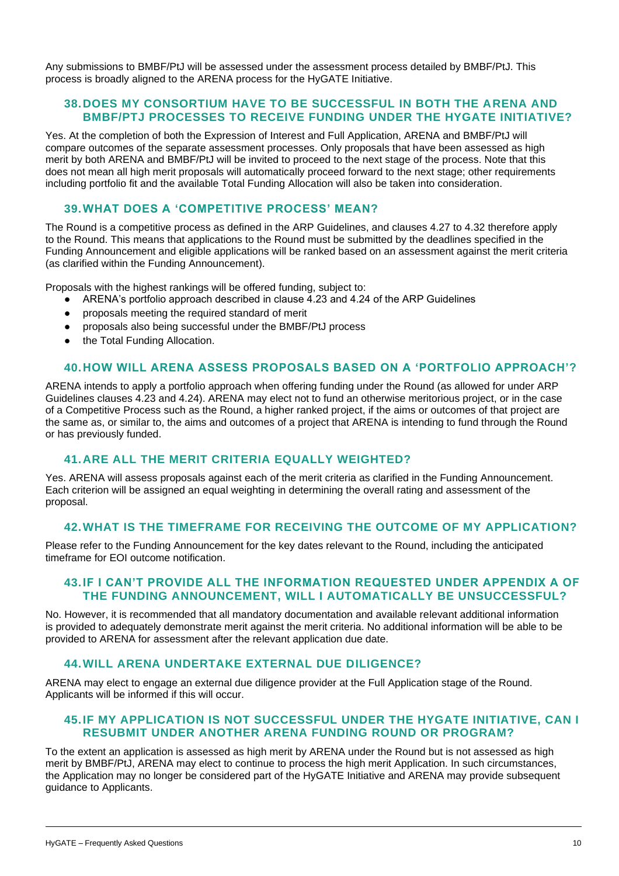Any submissions to BMBF/PtJ will be assessed under the assessment process detailed by BMBF/PtJ. This process is broadly aligned to the ARENA process for the HyGATE Initiative.

#### **38.DOES MY CONSORTIUM HAVE TO BE SUCCESSFUL IN BOTH THE ARENA AND BMBF/PTJ PROCESSES TO RECEIVE FUNDING UNDER THE HYGATE INITIATIVE?**

Yes. At the completion of both the Expression of Interest and Full Application, ARENA and BMBF/PtJ will compare outcomes of the separate assessment processes. Only proposals that have been assessed as high merit by both ARENA and BMBF/PtJ will be invited to proceed to the next stage of the process. Note that this does not mean all high merit proposals will automatically proceed forward to the next stage; other requirements including portfolio fit and the available Total Funding Allocation will also be taken into consideration.

## **39.WHAT DOES A 'COMPETITIVE PROCESS' MEAN?**

The Round is a competitive process as defined in the ARP Guidelines, and clauses 4.27 to 4.32 therefore apply to the Round. This means that applications to the Round must be submitted by the deadlines specified in the Funding Announcement and eligible applications will be ranked based on an assessment against the merit criteria (as clarified within the Funding Announcement).

Proposals with the highest rankings will be offered funding, subject to:

- ARENA's portfolio approach described in clause 4.23 and 4.24 of the ARP Guidelines
- proposals meeting the required standard of merit
- proposals also being successful under the BMBF/PtJ process
- the Total Funding Allocation.

#### **40.HOW WILL ARENA ASSESS PROPOSALS BASED ON A 'PORTFOLIO APPROACH'?**

ARENA intends to apply a portfolio approach when offering funding under the Round (as allowed for under ARP Guidelines clauses 4.23 and 4.24). ARENA may elect not to fund an otherwise meritorious project, or in the case of a Competitive Process such as the Round, a higher ranked project, if the aims or outcomes of that project are the same as, or similar to, the aims and outcomes of a project that ARENA is intending to fund through the Round or has previously funded.

#### **41.ARE ALL THE MERIT CRITERIA EQUALLY WEIGHTED?**

Yes. ARENA will assess proposals against each of the merit criteria as clarified in the Funding Announcement. Each criterion will be assigned an equal weighting in determining the overall rating and assessment of the proposal.

#### **42.WHAT IS THE TIMEFRAME FOR RECEIVING THE OUTCOME OF MY APPLICATION?**

Please refer to the Funding Announcement for the key dates relevant to the Round, including the anticipated timeframe for EOI outcome notification.

#### **43.IF I CAN'T PROVIDE ALL THE INFORMATION REQUESTED UNDER APPENDIX A OF THE FUNDING ANNOUNCEMENT, WILL I AUTOMATICALLY BE UNSUCCESSFUL?**

No. However, it is recommended that all mandatory documentation and available relevant additional information is provided to adequately demonstrate merit against the merit criteria. No additional information will be able to be provided to ARENA for assessment after the relevant application due date.

#### **44.WILL ARENA UNDERTAKE EXTERNAL DUE DILIGENCE?**

ARENA may elect to engage an external due diligence provider at the Full Application stage of the Round. Applicants will be informed if this will occur.

#### **45.IF MY APPLICATION IS NOT SUCCESSFUL UNDER THE HYGATE INITIATIVE, CAN I RESUBMIT UNDER ANOTHER ARENA FUNDING ROUND OR PROGRAM?**

To the extent an application is assessed as high merit by ARENA under the Round but is not assessed as high merit by BMBF/PtJ, ARENA may elect to continue to process the high merit Application. In such circumstances, the Application may no longer be considered part of the HyGATE Initiative and ARENA may provide subsequent guidance to Applicants.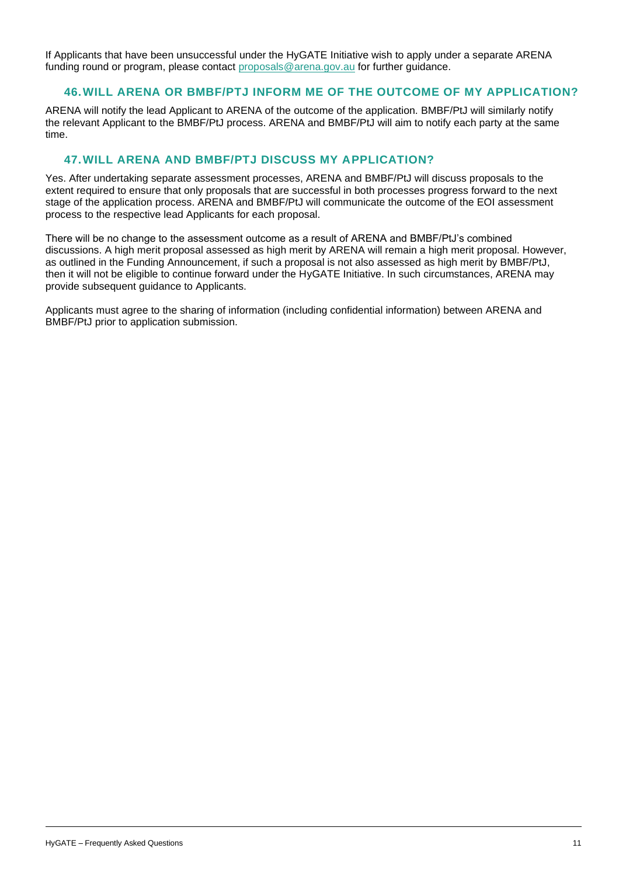If Applicants that have been unsuccessful under the HyGATE Initiative wish to apply under a separate ARENA funding round or program, please contact [proposals@arena.gov.au](mailto:proposals@arena.gov.au) for further guidance.

#### **46.WILL ARENA OR BMBF/PTJ INFORM ME OF THE OUTCOME OF MY APPLICATION?**

ARENA will notify the lead Applicant to ARENA of the outcome of the application. BMBF/PtJ will similarly notify the relevant Applicant to the BMBF/PtJ process. ARENA and BMBF/PtJ will aim to notify each party at the same time.

### **47.WILL ARENA AND BMBF/PTJ DISCUSS MY APPLICATION?**

Yes. After undertaking separate assessment processes, ARENA and BMBF/PtJ will discuss proposals to the extent required to ensure that only proposals that are successful in both processes progress forward to the next stage of the application process. ARENA and BMBF/PtJ will communicate the outcome of the EOI assessment process to the respective lead Applicants for each proposal.

There will be no change to the assessment outcome as a result of ARENA and BMBF/PtJ's combined discussions. A high merit proposal assessed as high merit by ARENA will remain a high merit proposal. However, as outlined in the Funding Announcement, if such a proposal is not also assessed as high merit by BMBF/PtJ, then it will not be eligible to continue forward under the HyGATE Initiative. In such circumstances, ARENA may provide subsequent guidance to Applicants.

Applicants must agree to the sharing of information (including confidential information) between ARENA and BMBF/PtJ prior to application submission.